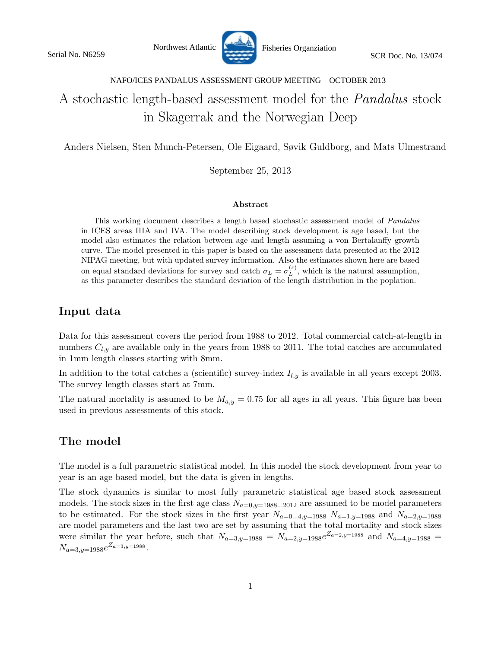Northwest Atlantic Fisheries Organziation SCR Doc. No. 13/074



#### NAFO/ICES PANDALUS ASSESSMENT GROUP MEETING – OCTOBER 2013

## A stochastic length-based assessment model for the Pandalus stock in Skagerrak and the Norwegian Deep

Anders Nielsen, Sten Munch-Petersen, Ole Eigaard, Søvik Guldborg, and Mats Ulmestrand

September 25, 2013

#### Abstract

This working document describes a length based stochastic assessment model of *Pandalus* in ICES areas IIIA and IVA. The model describing stock development is age based, but the model also estimates the relation between age and length assuming a von Bertalanffy growth curve. The model presented in this paper is based on the assessment data presented at the 2012 NIPAG meeting, but with updated survey information. Also the estimates shown here are based on equal standard deviations for survey and catch  $\sigma_L = \sigma_L^{(c)}$  $L^{(c)}$ , which is the natural assumption, as this parameter describes the standard deviation of the length distribution in the poplation.

### Input data

Data for this assessment covers the period from 1988 to 2012. Total commercial catch-at-length in numbers  $C_{l,y}$  are available only in the years from 1988 to 2011. The total catches are accumulated in 1mm length classes starting with 8mm.

In addition to the total catches a (scientific) survey-index  $I_{l,y}$  is available in all years except 2003. The survey length classes start at 7mm.

The natural mortality is assumed to be  $M_{a,y} = 0.75$  for all ages in all years. This figure has been used in previous assessments of this stock.

### The model

The model is a full parametric statistical model. In this model the stock development from year to year is an age based model, but the data is given in lengths.

The stock dynamics is similar to most fully parametric statistical age based stock assessment models. The stock sizes in the first age class  $N_{a=0,y=1988...2012}$  are assumed to be model parameters to be estimated. For the stock sizes in the first year  $N_{a=0...4,y=1988}$   $N_{a=1,y=1988}$  and  $N_{a=2,y=1988}$ are model parameters and the last two are set by assuming that the total mortality and stock sizes were similar the year before, such that  $N_{a=3,y=1988} = N_{a=2,y=1988}e^{Z_{a=2,y=1988}}$  and  $N_{a=4,y=1988}$  $N_{a=3,y=1988}e^{Z_{a=3,y=1988}}.$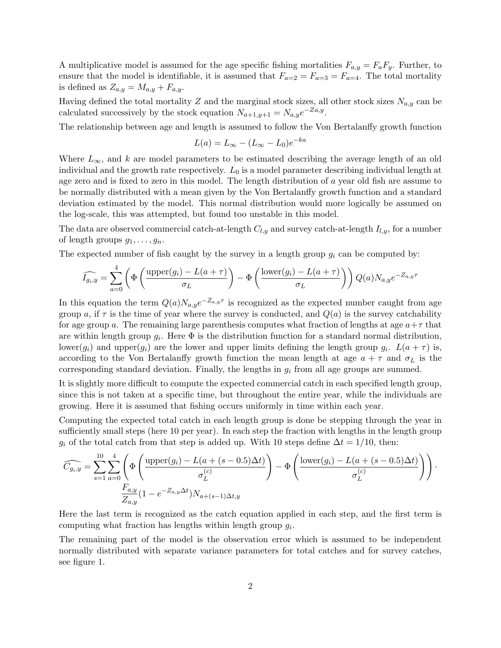A multiplicative model is assumed for the age specific fishing mortalities  $F_{a,y} = F_a F_y$ . Further, to ensure that the model is identifiable, it is assumed that  $F_{a=2} = F_{a=3} = F_{a=4}$ . The total mortality is defined as  $Z_{a,y} = M_{a,y} + F_{a,y}$ .

Having defined the total mortality Z and the marginal stock sizes, all other stock sizes  $N_{a,y}$  can be calculated successively by the stock equation  $N_{a+1,y+1} = N_{a,y}e^{-Za,y}$ .

The relationship between age and length is assumed to follow the Von Bertalanffy growth function

$$
L(a) = L_{\infty} - (L_{\infty} - L_0)e^{-ka}
$$

Where  $L_{\infty}$ , and k are model parameters to be estimated describing the average length of an old individual and the growth rate respectively.  $L_0$  is a model parameter describing individual length at age zero and is fixed to zero in this model. The length distribution of a year old fish are assume to be normally distributed with a mean given by the Von Bertalanffy growth function and a standard deviation estimated by the model. This normal distribution would more logically be assumed on the log-scale, this was attempted, but found too unstable in this model.

The data are observed commercial catch-at-length  $C_{l,y}$  and survey catch-at-length  $I_{l,y}$ , for a number of length groups  $g_1, \ldots, g_n$ .

The expected number of fish caught by the survey in a length group  $g_i$  can be computed by:

$$
\widehat{I_{g_i,y}} = \sum_{a=0}^{4} \left( \Phi \left( \frac{\text{upper}(g_i) - L(a + \tau)}{\sigma_L} \right) - \Phi \left( \frac{\text{lower}(g_i) - L(a + \tau)}{\sigma_L} \right) \right) Q(a) N_{a,y} e^{-Z_{a,y}\tau}
$$

In this equation the term  $Q(a)N_{a,y}e^{-Z_{a,y}\tau}$  is recognized as the expected number caught from age group a, if  $\tau$  is the time of year where the survey is conducted, and  $Q(a)$  is the survey catchability for age group a. The remaining large parenthesis computes what fraction of lengths at age  $a+\tau$  that are within length group  $g_i$ . Here  $\Phi$  is the distribution function for a standard normal distribution, lower(g<sub>i</sub>) and upper(g<sub>i</sub>) are the lower and upper limits defining the length group  $g_i$ .  $L(a + \tau)$  is, according to the Von Bertalanffy growth function the mean length at age  $a + \tau$  and  $\sigma_L$  is the corresponding standard deviation. Finally, the lengths in  $g_i$  from all age groups are summed.

It is slightly more difficult to compute the expected commercial catch in each specified length group, since this is not taken at a specific time, but throughout the entire year, while the individuals are growing. Here it is assumed that fishing occurs uniformly in time within each year.

Computing the expected total catch in each length group is done be stepping through the year in sufficiently small steps (here 10 per year). In each step the fraction with lengths in the length group  $g_i$  of the total catch from that step is added up. With 10 steps define  $\Delta t = 1/10$ , then:

$$
\widehat{C_{g_i,y}} = \sum_{s=1}^{10} \sum_{a=0}^{4} \left( \Phi \left( \frac{\text{upper}(g_i) - L(a + (s - 0.5) \Delta t)}{\sigma_L^{(c)}} \right) - \Phi \left( \frac{\text{lower}(g_i) - L(a + (s - 0.5) \Delta t)}{\sigma_L^{(c)}} \right) \right).
$$
  

$$
\frac{F_{a,y}}{Z_{a,y}} (1 - e^{-Z_{a,y} \Delta t}) N_{a + (s-1) \Delta t, y}
$$

Here the last term is recognized as the catch equation applied in each step, and the first term is computing what fraction has lengths within length group  $g_i$ .

The remaining part of the model is the observation error which is assumed to be independent normally distributed with separate variance parameters for total catches and for survey catches, see figure 1.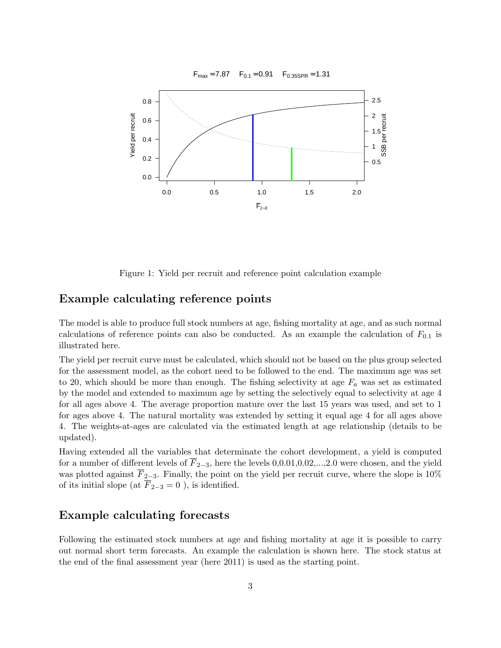

Figure 1: Yield per recruit and reference point calculation example

#### Example calculating reference points

The model is able to produce full stock numbers at age, fishing mortality at age, and as such normal calculations of reference points can also be conducted. As an example the calculation of  $F_{0,1}$  is illustrated here.

The yield per recruit curve must be calculated, which should not be based on the plus group selected for the assessment model, as the cohort need to be followed to the end. The maximum age was set to 20, which should be more than enough. The fishing selectivity at age  $F_a$  was set as estimated by the model and extended to maximum age by setting the selectively equal to selectivity at age 4 for all ages above 4. The average proportion mature over the last 15 years was used, and set to 1 for ages above 4. The natural mortality was extended by setting it equal age 4 for all ages above 4. The weights-at-ages are calculated via the estimated length at age relationship (details to be updated).

Having extended all the variables that determinate the cohort development, a yield is computed for a number of different levels of  $\overline{F}_{2-3}$ , here the levels 0,0.01,0.02,...,2.0 were chosen, and the yield was plotted against  $\overline{F}_{2-3}$ . Finally, the point on the yield per recruit curve, where the slope is 10% of its initial slope (at  $\overline{F}_{2-3} = 0$ ), is identified.

#### Example calculating forecasts

Following the estimated stock numbers at age and fishing mortality at age it is possible to carry out normal short term forecasts. An example the calculation is shown here. The stock status at the end of the final assessment year (here 2011) is used as the starting point.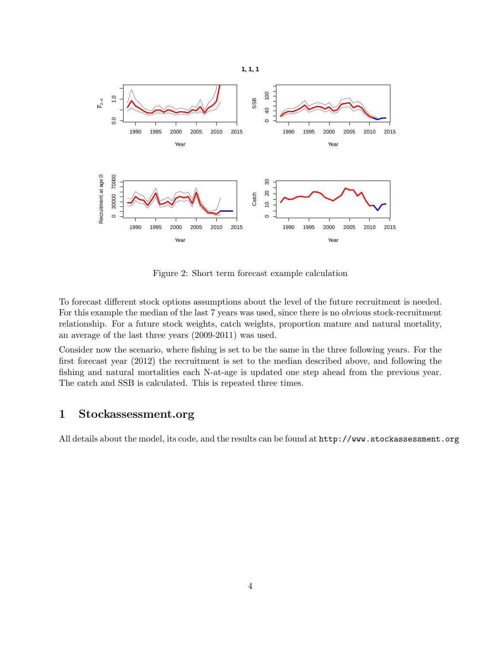

Figure 2: Short term forecast example calculation

To forecast different stock options assumptions about the level of the future recruitment is needed. For this example the median of the last 7 years was used, since there is no obvious stock-recruitment relationship. For a future stock weights, catch weights, proportion mature and natural mortality, an average of the last three years (2009-2011) was used.

Consider now the scenario, where fishing is set to be the same in the three following years. For the first forecast year (2012) the recruitment is set to the median described above, and following the fishing and natural mortalities each N-at-age is updated one step ahead from the previous year. The catch and SSB is calculated. This is repeated three times.

#### 1 Stockassessment.org

All details about the model, its code, and the results can be found at http://www.stockassessment.org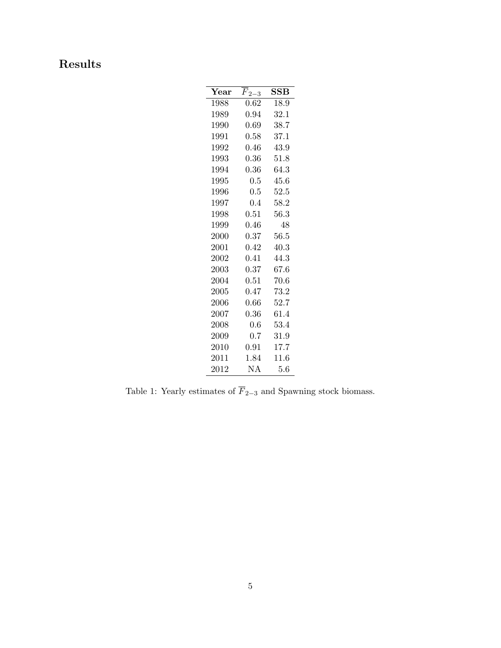# Results

| $\operatorname{Year}$ | $F_{2-3}$  | $_{\rm SSB}$ |
|-----------------------|------------|--------------|
| 1988                  | 0.62       | 18.9         |
| 1989                  | $0.94\,$   | 32.1         |
| 1990                  | 0.69       | 38.7         |
| 1991                  | 0.58       | 37.1         |
| 1992                  | 0.46       | 43.9         |
| 1993                  | $\rm 0.36$ | 51.8         |
| 1994                  | 0.36       | 64.3         |
| 1995                  | 0.5        | 45.6         |
| 1996                  | 0.5        | 52.5         |
| 1997                  | 0.4        | 58.2         |
| 1998                  | 0.51       | 56.3         |
| 1999                  | 0.46       | 48           |
| $2000\,$              | $\rm 0.37$ | 56.5         |
| 2001                  | 0.42       | 40.3         |
| 2002                  | 0.41       | 44.3         |
| 2003                  | 0.37       | 67.6         |
| 2004                  | 0.51       | 70.6         |
| $2005\,$              | $0.47\,$   | 73.2         |
| $2006\,$              | 0.66       | 52.7         |
| 2007                  | 0.36       | 61.4         |
| $2008\,$              | 0.6        | $53.4\,$     |
| 2009                  | 0.7        | 31.9         |
| $2010\,$              | $0.91\,$   | 17.7         |
| 2011                  | 1.84       | 11.6         |
| 2012                  | NΑ         | 5.6          |

Table 1: Yearly estimates of  $\overline{F}_{2-3}$  and Spawning stock biomass.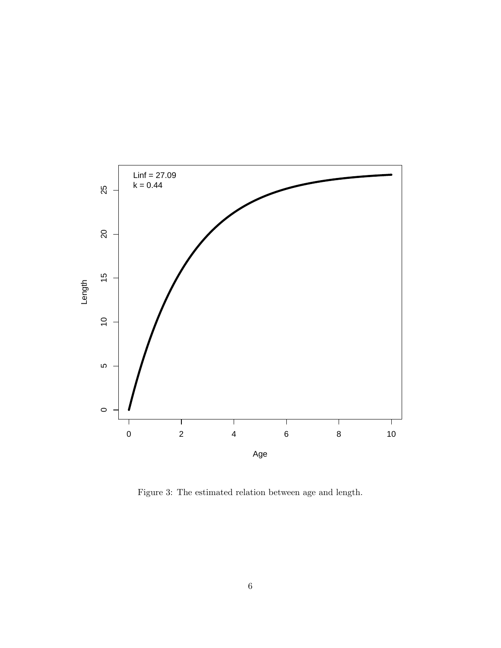

Figure 3: The estimated relation between age and length.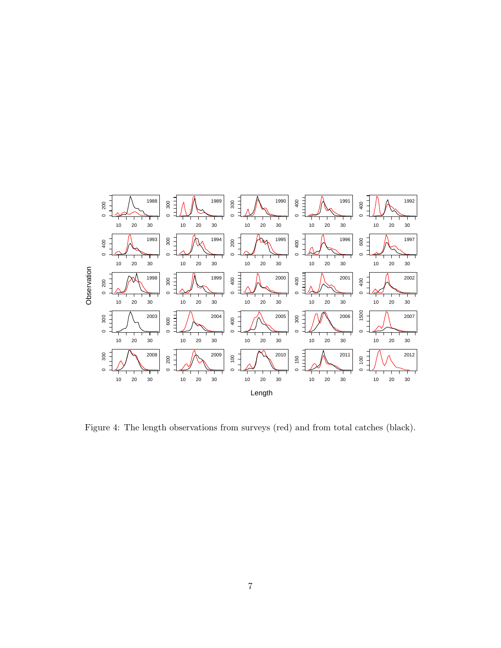

Figure 4: The length observations from surveys (red) and from total catches (black).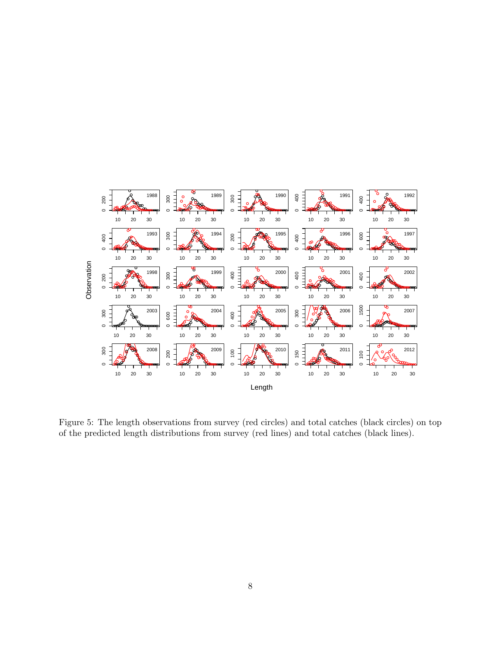

Figure 5: The length observations from survey (red circles) and total catches (black circles) on top of the predicted length distributions from survey (red lines) and total catches (black lines).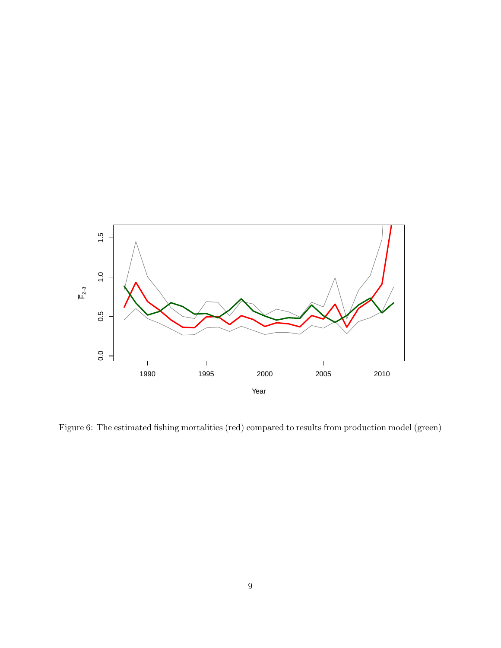

Figure 6: The estimated fishing mortalities (red) compared to results from production model (green)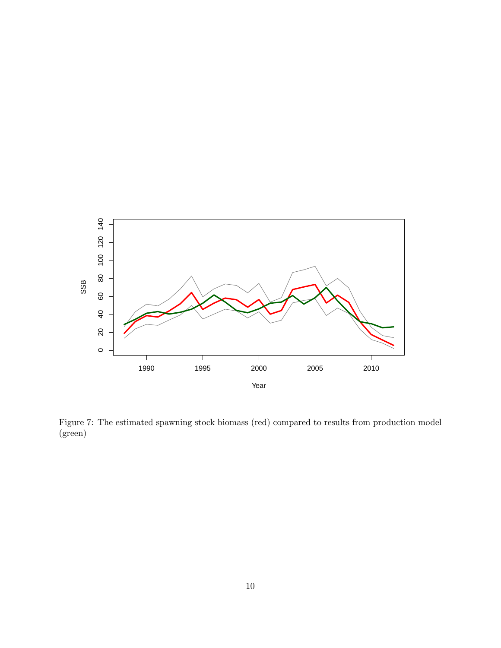

Figure 7: The estimated spawning stock biomass (red) compared to results from production model (green)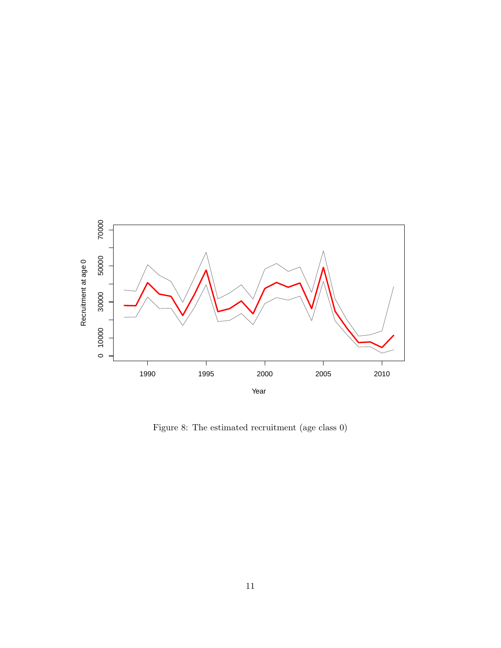

Figure 8: The estimated recruitment (age class 0)